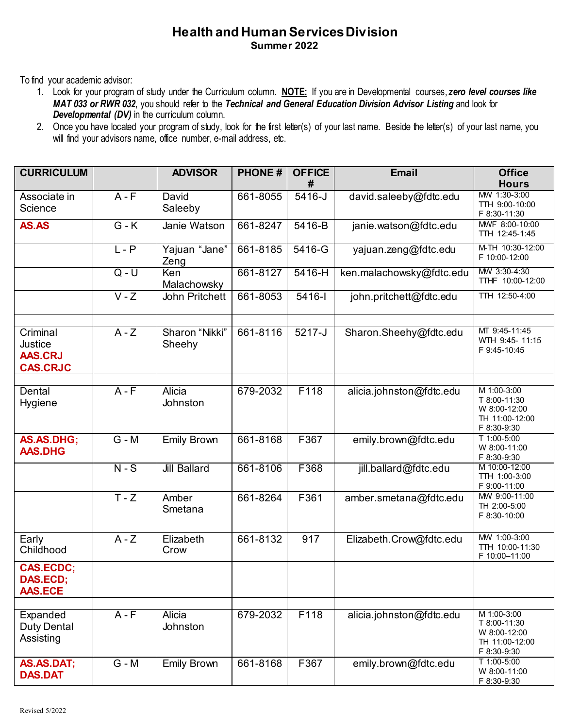## **Health and Human Services Division Summer 2022**

To find your academic advisor:

1. Look for your program of study under the Curriculum column. **NOTE:** If you are in Developmental courses, *zero level courses like MAT 033 or RWR 032*, you should refer to the *Technical and General Education Division Advisor Listing* and look for *Developmental (DV)* in the curriculum column.

<sup>2.</sup> Once you have located your program of study, look for the first letter(s) of your last name. Beside the letter(s) of your last name, you will find your advisors name, office number, e-mail address, etc.

| <b>CURRICULUM</b>                                        |         | <b>ADVISOR</b>            | <b>PHONE#</b> | <b>OFFICE</b> | <b>Email</b>             | <b>Office</b>                                                                |
|----------------------------------------------------------|---------|---------------------------|---------------|---------------|--------------------------|------------------------------------------------------------------------------|
|                                                          |         |                           |               | #             |                          | <b>Hours</b>                                                                 |
| Associate in<br>Science                                  | $A - F$ | David<br>Saleeby          | 661-8055      | $5416 - J$    | david.saleeby@fdtc.edu   | MW 1:30-3:00<br>TTH 9:00-10:00<br>F 8:30-11:30                               |
| AS.AS                                                    | $G - K$ | Janie Watson              | 661-8247      | 5416-B        | janie.watson@fdtc.edu    | MWF 8:00-10:00<br>TTH 12:45-1:45                                             |
|                                                          | $L - P$ | Yajuan "Jane"<br>Zeng     | 661-8185      | $5416 - G$    | yajuan.zeng@fdtc.edu     | M-TH 10:30-12:00<br>F 10:00-12:00                                            |
|                                                          | $Q - U$ | Ken<br>Malachowsky        | 661-8127      | $5416-H$      | ken.malachowsky@fdtc.edu | MW 3:30-4:30<br>TTHF 10:00-12:00                                             |
|                                                          | $V - Z$ | <b>John Pritchett</b>     | 661-8053      | $5416 -$      | john.pritchett@fdtc.edu  | TTH 12:50-4:00                                                               |
| Criminal<br>Justice<br><b>AAS.CRJ</b><br><b>CAS.CRJC</b> | $A - Z$ | Sharon "Nikki"<br>Sheehy  | 661-8116      | $5217 - J$    | Sharon.Sheehy@fdtc.edu   | MT 9:45-11:45<br>WTH 9:45- 11:15<br>F 9:45-10:45                             |
|                                                          |         |                           |               |               |                          |                                                                              |
| Dental<br>Hygiene                                        | $A - F$ | <b>Alicia</b><br>Johnston | 679-2032      | F118          | alicia.johnston@fdtc.edu | M 1:00-3:00<br>T 8:00-11:30<br>W 8:00-12:00<br>TH 11:00-12:00<br>F 8:30-9:30 |
| AS.AS.DHG;<br><b>AAS.DHG</b>                             | $G - M$ | <b>Emily Brown</b>        | 661-8168      | F367          | emily.brown@fdtc.edu     | T 1:00-5:00<br>W 8:00-11:00<br>F 8:30-9:30                                   |
|                                                          | $N-S$   | <b>Jill Ballard</b>       | 661-8106      | F368          | jill.ballard@fdtc.edu    | M 10:00-12:00<br>TTH 1:00-3:00<br>F 9:00-11:00                               |
|                                                          | $T - Z$ | Amber<br>Smetana          | 661-8264      | F361          | amber.smetana@fdtc.edu   | MW 9:00-11:00<br>TH 2:00-5:00<br>F 8:30-10:00                                |
|                                                          |         |                           |               |               |                          | MW 1:00-3:00                                                                 |
| Early<br>Childhood                                       | $A - Z$ | Elizabeth<br>Crow         | 661-8132      | 917           | Elizabeth.Crow@fdtc.edu  | TTH 10:00-11:30<br>F 10:00-11:00                                             |
| <b>CAS.ECDC;</b><br>DAS.ECD;<br><b>AAS.ECE</b>           |         |                           |               |               |                          |                                                                              |
|                                                          |         |                           |               |               |                          |                                                                              |
| Expanded<br><b>Duty Dental</b><br>Assisting              | $A - F$ | <b>Alicia</b><br>Johnston | 679-2032      | F118          | alicia.johnston@fdtc.edu | M 1:00-3:00<br>T 8:00-11:30<br>W 8:00-12:00<br>TH 11:00-12:00<br>F 8:30-9:30 |
| AS.AS.DAT;<br><b>DAS.DAT</b>                             | $G - M$ | <b>Emily Brown</b>        | 661-8168      | F367          | emily.brown@fdtc.edu     | T 1:00-5:00<br>W 8:00-11:00<br>F 8:30-9:30                                   |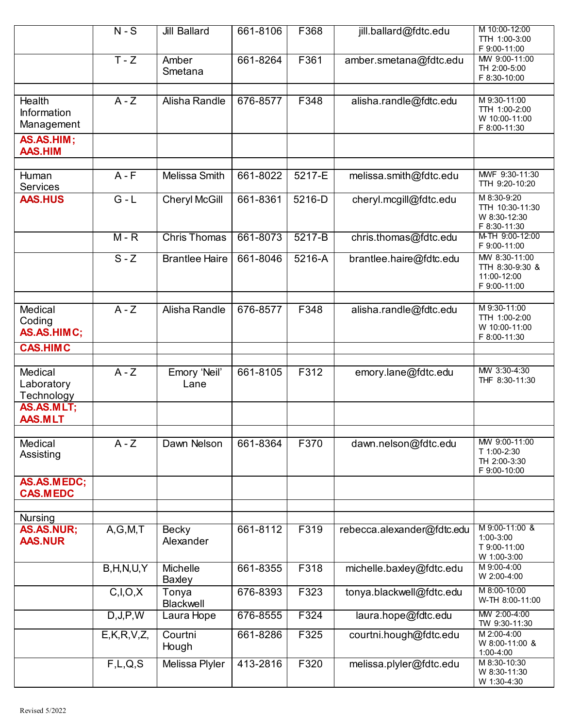|                                            | $N-S$          | <b>Jill Ballard</b>   | 661-8106 | F368   | jill.ballard@fdtc.edu      | M 10:00-12:00<br>TTH 1:00-3:00<br>F 9:00-11:00                  |
|--------------------------------------------|----------------|-----------------------|----------|--------|----------------------------|-----------------------------------------------------------------|
|                                            | $T - Z$        | Amber<br>Smetana      | 661-8264 | F361   | amber.smetana@fdtc.edu     | MW 9:00-11:00<br>TH 2:00-5:00<br>F 8:30-10:00                   |
|                                            |                |                       |          |        |                            |                                                                 |
| <b>Health</b><br>Information<br>Management | $A - Z$        | Alisha Randle         | 676-8577 | F348   | alisha.randle@fdtc.edu     | M 9:30-11:00<br>TTH 1:00-2:00<br>W 10:00-11:00<br>F 8:00-11:30  |
| AS.AS.HIM;<br><b>AAS.HIM</b>               |                |                       |          |        |                            |                                                                 |
| Human<br><b>Services</b>                   | $A - F$        | Melissa Smith         | 661-8022 | 5217-E | melissa.smith@fdtc.edu     | MWF 9:30-11:30<br>TTH 9:20-10:20                                |
| <b>AAS.HUS</b>                             | $G - L$        | <b>Cheryl McGill</b>  | 661-8361 | 5216-D | cheryl.mcgill@fdtc.edu     | M 8:30-9:20<br>TTH 10:30-11:30<br>W 8:30-12:30<br>F 8:30-11:30  |
|                                            | $M - R$        | <b>Chris Thomas</b>   | 661-8073 | 5217-B | chris.thomas@fdtc.edu      | M-TH 9:00-12:00<br>F 9:00-11:00                                 |
|                                            | $S - Z$        | <b>Brantlee Haire</b> | 661-8046 | 5216-A | brantlee.haire@fdtc.edu    | MW 8:30-11:00<br>TTH 8:30-9:30 &<br>11:00-12:00<br>F 9:00-11:00 |
| Medical<br>Coding<br>AS.AS.HIMC;           | $A - Z$        | Alisha Randle         | 676-8577 | F348   | alisha.randle@fdtc.edu     | M 9:30-11:00<br>TTH 1:00-2:00<br>W 10:00-11:00<br>F 8:00-11:30  |
| <b>CAS.HIMC</b>                            |                |                       |          |        |                            |                                                                 |
| Medical<br>Laboratory<br>Technology        | $A - Z$        | Emory 'Neil'<br>Lane  | 661-8105 | F312   | emory.lane@fdtc.edu        | MW 3:30-4:30<br>THF 8:30-11:30                                  |
| AS.AS.MLT;<br><b>AAS.MLT</b>               |                |                       |          |        |                            |                                                                 |
| Medical<br>Assisting                       | $A - Z$        | Dawn Nelson           | 661-8364 | F370   | dawn.nelson@fdtc.edu       | MW 9:00-11:00<br>T 1:00-2:30<br>TH 2:00-3:30<br>F 9:00-10:00    |
| AS.AS.MEDC;<br><b>CAS.MEDC</b>             |                |                       |          |        |                            |                                                                 |
| <b>Nursing</b>                             |                |                       |          |        |                            |                                                                 |
| AS.AS.NUR;<br><b>AAS.NUR</b>               | A, G, M, T     | Becky<br>Alexander    | 661-8112 | F319   | rebecca.alexander@fdtc.edu | M 9:00-11:00 &<br>1:00-3:00<br>T 9:00-11:00<br>W 1:00-3:00      |
|                                            | B, H, N, U, Y  | Michelle<br>Baxley    | 661-8355 | F318   | michelle.baxley@fdtc.edu   | M 9:00-4:00<br>W 2:00-4:00                                      |
|                                            | C, I, O, X     | Tonya<br>Blackwell    | 676-8393 | F323   | tonya.blackwell@fdtc.edu   | M 8:00-10:00<br>W-TH 8:00-11:00                                 |
|                                            | D, J, P, W     | Laura Hope            | 676-8555 | F324   | laura.hope@fdtc.edu        | MW 2:00-4:00<br>TW 9:30-11:30                                   |
|                                            | E, K, R, V, Z, | Courtni<br>Hough      | 661-8286 | F325   | courtni.hough@fdtc.edu     | M 2:00-4:00<br>W 8:00-11:00 &<br>1:00-4:00                      |
|                                            | F,L,Q,S        | Melissa Plyler        | 413-2816 | F320   | melissa.plyler@fdtc.edu    | M 8:30-10:30<br>W 8:30-11:30<br>W 1:30-4:30                     |